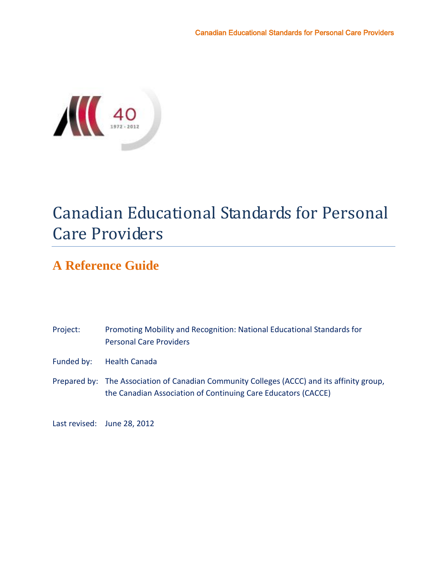

# Canadian Educational Standards for Personal Care Providers

# **A Reference Guide**

| Project:   | Promoting Mobility and Recognition: National Educational Standards for<br><b>Personal Care Providers</b>                                                    |
|------------|-------------------------------------------------------------------------------------------------------------------------------------------------------------|
| Funded by: | <b>Health Canada</b>                                                                                                                                        |
|            | Prepared by: The Association of Canadian Community Colleges (ACCC) and its affinity group,<br>the Canadian Association of Continuing Care Educators (CACCE) |

Last revised: June 28, 2012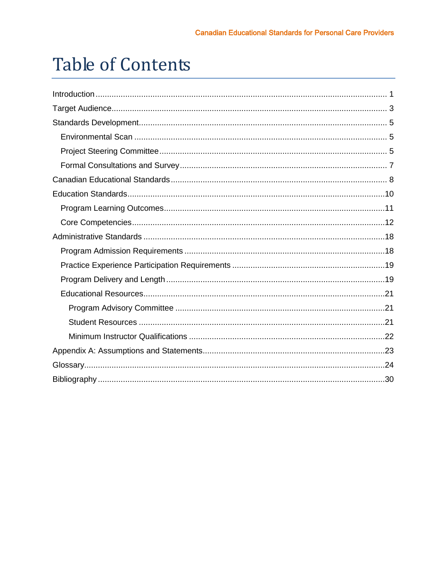# **Table of Contents**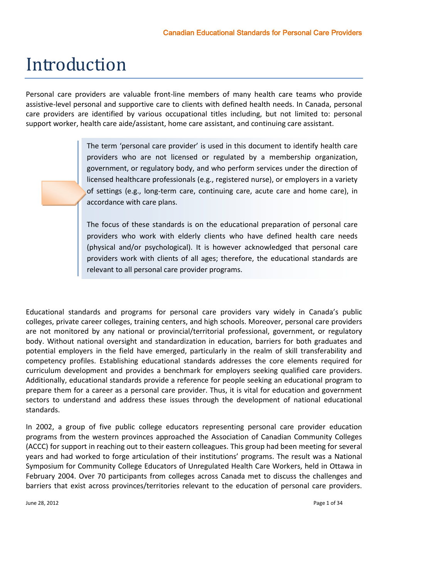# <span id="page-2-0"></span>Introduction

Personal care providers are valuable front-line members of many health care teams who provide assistive-level personal and supportive care to clients with defined health needs. In Canada, personal care providers are identified by various occupational titles including, but not limited to: personal support worker, health care aide/assistant, home care assistant, and continuing care assistant.

> The term 'personal care provider' is used in this document to identify health care providers who are not licensed or regulated by a membership organization, government, or regulatory body, and who perform services under the direction of licensed healthcare professionals (e.g., registered nurse), or employers in a variety of settings (e.g., long-term care, continuing care, acute care and home care), in accordance with care plans.

> The focus of these standards is on the educational preparation of personal care providers who work with elderly clients who have defined health care needs (physical and/or psychological). It is however acknowledged that personal care providers work with clients of all ages; therefore, the educational standards are relevant to all personal care provider programs.

Educational standards and programs for personal care providers vary widely in Canada's public colleges, private career colleges, training centers, and high schools. Moreover, personal care providers are not monitored by any national or provincial/territorial professional, government, or regulatory body. Without national oversight and standardization in education, barriers for both graduates and potential employers in the field have emerged, particularly in the realm of skill transferability and competency profiles. Establishing educational standards addresses the core elements required for curriculum development and provides a benchmark for employers seeking qualified care providers. Additionally, educational standards provide a reference for people seeking an educational program to prepare them for a career as a personal care provider. Thus, it is vital for education and government sectors to understand and address these issues through the development of national educational standards.

In 2002, a group of five public college educators representing personal care provider education programs from the western provinces approached the Association of Canadian Community Colleges (ACCC) for support in reaching out to their eastern colleagues. This group had been meeting for several years and had worked to forge articulation of their institutions' programs. The result was a National Symposium for Community College Educators of Unregulated Health Care Workers, held in Ottawa in February 2004. Over 70 participants from colleges across Canada met to discuss the challenges and barriers that exist across provinces/territories relevant to the education of personal care providers.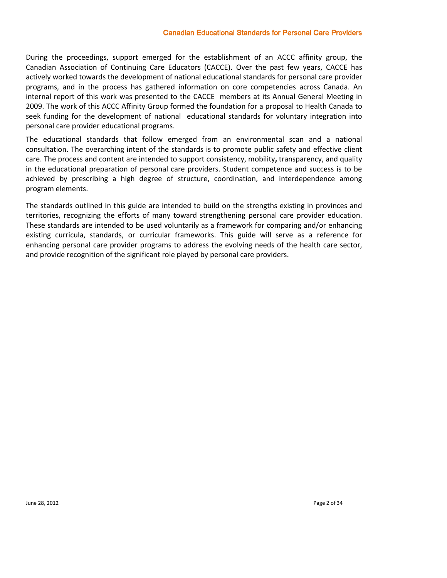#### Canadian Educational Standards for Personal Care Providers

During the proceedings, support emerged for the establishment of an ACCC affinity group, the Canadian Association of Continuing Care Educators (CACCE). Over the past few years, CACCE has actively worked towards the development of national educational standards for personal care provider programs, and in the process has gathered information on core competencies across Canada. An internal report of this work was presented to the CACCE members at its Annual General Meeting in 2009. The work of this ACCC Affinity Group formed the foundation for a proposal to Health Canada to seek funding for the development of national educational standards for voluntary integration into personal care provider educational programs.

The educational standards that follow emerged from an environmental scan and a national consultation. The overarching intent of the standards is to promote public safety and effective client care. The process and content are intended to support consistency, mobility**,** transparency, and quality in the educational preparation of personal care providers. Student competence and success is to be achieved by prescribing a high degree of structure, coordination, and interdependence among program elements.

The standards outlined in this guide are intended to build on the strengths existing in provinces and territories, recognizing the efforts of many toward strengthening personal care provider education. These standards are intended to be used voluntarily as a framework for comparing and/or enhancing existing curricula, standards, or curricular frameworks. This guide will serve as a reference for enhancing personal care provider programs to address the evolving needs of the health care sector, and provide recognition of the significant role played by personal care providers.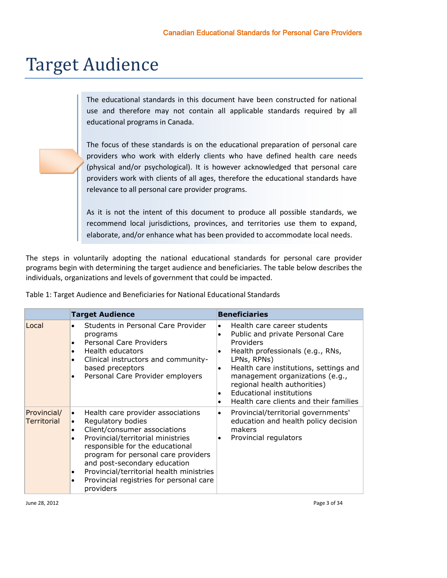# <span id="page-4-0"></span>Target Audience

The educational standards in this document have been constructed for national use and therefore may not contain all applicable standards required by all educational programs in Canada.

The focus of these standards is on the educational preparation of personal care providers who work with elderly clients who have defined health care needs (physical and/or psychological). It is however acknowledged that personal care providers work with clients of all ages, therefore the educational standards have relevance to all personal care provider programs.

As it is not the intent of this document to produce all possible standards, we recommend local jurisdictions, provinces, and territories use them to expand, elaborate, and/or enhance what has been provided to accommodate local needs.

The steps in voluntarily adopting the national educational standards for personal care provider programs begin with determining the target audience and beneficiaries. The table below describes the individuals, organizations and levels of government that could be impacted.

|                                   | <b>Target Audience</b>                                                                                                                                                                                                                                                                                                                                                                                  | <b>Beneficiaries</b>                                                                                                                                                                                                                                                                                                                                                                                    |  |  |  |
|-----------------------------------|---------------------------------------------------------------------------------------------------------------------------------------------------------------------------------------------------------------------------------------------------------------------------------------------------------------------------------------------------------------------------------------------------------|---------------------------------------------------------------------------------------------------------------------------------------------------------------------------------------------------------------------------------------------------------------------------------------------------------------------------------------------------------------------------------------------------------|--|--|--|
| Local                             | Students in Personal Care Provider<br>$\bullet$<br>programs<br>Personal Care Providers<br>$\bullet$<br>Health educators<br>$\bullet$<br>Clinical instructors and community-<br>$\bullet$<br>based preceptors<br>Personal Care Provider employers                                                                                                                                                        | Health care career students<br>$\bullet$<br>Public and private Personal Care<br>$\bullet$<br>Providers<br>Health professionals (e.g., RNs,<br>$\bullet$<br>LPNs, RPNs)<br>Health care institutions, settings and<br>$\bullet$<br>management organizations (e.g.,<br>regional health authorities)<br><b>Educational institutions</b><br>$\bullet$<br>Health care clients and their families<br>$\bullet$ |  |  |  |
| Provincial/<br><b>Territorial</b> | Health care provider associations<br>$\bullet$<br>Regulatory bodies<br>$\bullet$<br>Client/consumer associations<br>$\bullet$<br>Provincial/territorial ministries<br>$\bullet$<br>responsible for the educational<br>program for personal care providers<br>and post-secondary education<br>Provincial/territorial health ministries<br>٠<br>Provincial registries for personal care<br>٠<br>providers | Provincial/territorial governments'<br>$\bullet$<br>education and health policy decision<br>makers<br>Provincial regulators<br>$\bullet$                                                                                                                                                                                                                                                                |  |  |  |

Table 1: Target Audience and Beneficiaries for National Educational Standards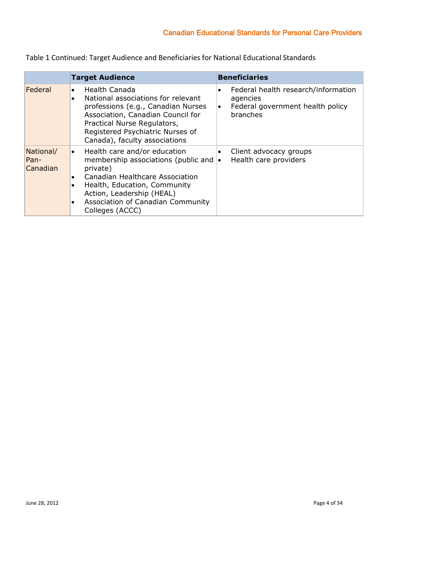Table 1 Continued: Target Audience and Beneficiaries for National Educational Standards

|                               | <b>Target Audience</b>                                                                                                                                                                                                                                            | <b>Beneficiaries</b>                                                                                                      |  |  |  |
|-------------------------------|-------------------------------------------------------------------------------------------------------------------------------------------------------------------------------------------------------------------------------------------------------------------|---------------------------------------------------------------------------------------------------------------------------|--|--|--|
| Federal                       | Health Canada<br>٠<br>National associations for relevant<br>$\bullet$<br>professions (e.g., Canadian Nurses<br>Association, Canadian Council for<br>Practical Nurse Regulators,<br>Registered Psychiatric Nurses of<br>Canada), faculty associations              | Federal health research/information<br>$\bullet$<br>agencies<br>Federal government health policy<br>$\bullet$<br>branches |  |  |  |
| National/<br>Pan-<br>Canadian | Health care and/or education<br>$\bullet$<br>membership associations (public and $\cdot$<br>private)<br>Canadian Healthcare Association<br>Health, Education, Community<br>Action, Leadership (HEAL)<br>Association of Canadian Community<br>٠<br>Colleges (ACCC) | Client advocacy groups<br>$\bullet$<br>Health care providers                                                              |  |  |  |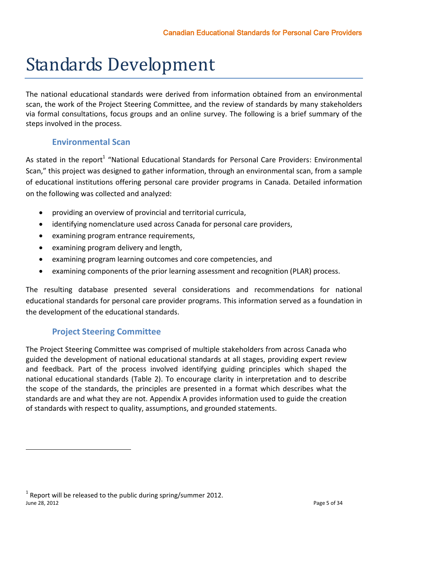# <span id="page-6-0"></span>Standards Development

The national educational standards were derived from information obtained from an environmental scan, the work of the Project Steering Committee, and the review of standards by many stakeholders via formal consultations, focus groups and an online survey. The following is a brief summary of the steps involved in the process.

## **Environmental Scan**

<span id="page-6-1"></span>As stated in the report<sup>1</sup> "National Educational Standards for Personal Care Providers: Environmental Scan," this project was designed to gather information, through an environmental scan, from a sample of educational institutions offering personal care provider programs in Canada. Detailed information on the following was collected and analyzed:

- providing an overview of provincial and territorial curricula,
- identifying nomenclature used across Canada for personal care providers,
- examining program entrance requirements,
- examining program delivery and length,
- examining program learning outcomes and core competencies, and
- examining components of the prior learning assessment and recognition (PLAR) process.

The resulting database presented several considerations and recommendations for national educational standards for personal care provider programs. This information served as a foundation in the development of the educational standards.

# **Project Steering Committee**

 $\overline{a}$ 

<span id="page-6-2"></span>The Project Steering Committee was comprised of multiple stakeholders from across Canada who guided the development of national educational standards at all stages, providing expert review and feedback. Part of the process involved identifying guiding principles which shaped the national educational standards (Table 2). To encourage clarity in interpretation and to describe the scope of the standards, the principles are presented in a format which describes what the standards are and what they are not. Appendix A provides information used to guide the creation of standards with respect to quality, assumptions, and grounded statements.

June 28, 2012 Page 5 of 34  $1$  Report will be released to the public during spring/summer 2012.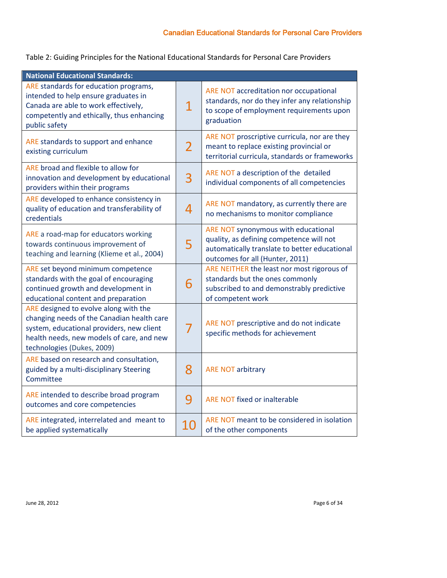Table 2: Guiding Principles for the National Educational Standards for Personal Care Providers

| <b>National Educational Standards:</b>                                                                                                                                                                      |                |                                                                                                                                                                     |
|-------------------------------------------------------------------------------------------------------------------------------------------------------------------------------------------------------------|----------------|---------------------------------------------------------------------------------------------------------------------------------------------------------------------|
| ARE standards for education programs,<br>intended to help ensure graduates in<br>Canada are able to work effectively,<br>competently and ethically, thus enhancing<br>public safety                         | 1              | ARE NOT accreditation nor occupational<br>standards, nor do they infer any relationship<br>to scope of employment requirements upon<br>graduation                   |
| ARE standards to support and enhance<br>existing curriculum                                                                                                                                                 | $\overline{2}$ | ARE NOT proscriptive curricula, nor are they<br>meant to replace existing provincial or<br>territorial curricula, standards or frameworks                           |
| ARE broad and flexible to allow for<br>innovation and development by educational<br>providers within their programs                                                                                         | 3              | ARE NOT a description of the detailed<br>individual components of all competencies                                                                                  |
| ARE developed to enhance consistency in<br>quality of education and transferability of<br>credentials                                                                                                       | 4              | ARE NOT mandatory, as currently there are<br>no mechanisms to monitor compliance                                                                                    |
| ARE a road-map for educators working<br>towards continuous improvement of<br>teaching and learning (Klieme et al., 2004)                                                                                    | 5              | ARE NOT synonymous with educational<br>quality, as defining competence will not<br>automatically translate to better educational<br>outcomes for all (Hunter, 2011) |
| ARE set beyond minimum competence<br>standards with the goal of encouraging<br>continued growth and development in<br>educational content and preparation                                                   | 6              | ARE NEITHER the least nor most rigorous of<br>standards but the ones commonly<br>subscribed to and demonstrably predictive<br>of competent work                     |
| ARE designed to evolve along with the<br>changing needs of the Canadian health care<br>system, educational providers, new client<br>health needs, new models of care, and new<br>technologies (Dukes, 2009) | 7              | ARE NOT prescriptive and do not indicate<br>specific methods for achievement                                                                                        |
| ARE based on research and consultation,<br>guided by a multi-disciplinary Steering<br>Committee                                                                                                             | 8              | <b>ARE NOT arbitrary</b>                                                                                                                                            |
| ARE intended to describe broad program<br>outcomes and core competencies                                                                                                                                    | 9              | <b>ARE NOT fixed or inalterable</b>                                                                                                                                 |
| ARE integrated, interrelated and meant to<br>be applied systematically                                                                                                                                      | 10             | ARE NOT meant to be considered in isolation<br>of the other components                                                                                              |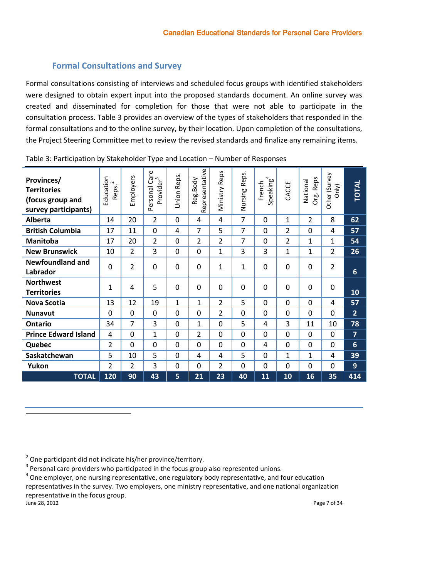### **Formal Consultations and Survey**

<span id="page-8-0"></span>Formal consultations consisting of interviews and scheduled focus groups with identified stakeholders were designed to obtain expert input into the proposed standards document. An online survey was created and disseminated for completion for those that were not able to participate in the consultation process. Table 3 provides an overview of the types of stakeholders that responded in the formal consultations and to the online survey, by their location. Upon completion of the consultations, the Project Steering Committee met to review the revised standards and finalize any remaining items.

| Provinces/<br><b>Territories</b><br>(focus group and<br>survey participants) | Education<br>$\sim$<br>Reps. | Employers      | Personal Care<br>Provider <sup>3</sup> | Union Reps. | presentative<br>Reg.Body<br><b>Rej</b> | Reps<br>Ministry | Reps.<br>Nursing | $S$ peaking <sup>4</sup><br>French | CACCE          | Org. Reps<br>National | Other (Survey<br>Only) | <b>TOTAL</b>    |
|------------------------------------------------------------------------------|------------------------------|----------------|----------------------------------------|-------------|----------------------------------------|------------------|------------------|------------------------------------|----------------|-----------------------|------------------------|-----------------|
| Alberta                                                                      | 14                           | 20             | $\overline{2}$                         | $\mathbf 0$ | 4                                      | 4                | 7                | $\Omega$                           | $\mathbf{1}$   | $\overline{2}$        | 8                      | 62              |
| <b>British Columbia</b>                                                      | 17                           | 11             | 0                                      | 4           | 7                                      | 5                | 7                | $\Omega$                           | 2              | $\Omega$              | 4                      | 57              |
| <b>Manitoba</b>                                                              | 17                           | 20             | $\overline{2}$                         | $\Omega$    | 2                                      | 2                | 7                | $\Omega$                           | $\overline{2}$ | $\mathbf{1}$          | $\mathbf{1}$           | 54              |
| <b>New Brunswick</b>                                                         | 10                           | $\overline{2}$ | 3                                      | $\mathbf 0$ | 0                                      | 1                | 3                | 3                                  | $\mathbf{1}$   | $\mathbf{1}$          | $\overline{2}$         | 26              |
| <b>Newfoundland and</b><br>Labrador                                          | $\overline{0}$               | $\overline{2}$ | 0                                      | $\Omega$    | $\Omega$                               | 1                | 1                | 0                                  | $\Omega$       | $\Omega$              | $\overline{2}$         | $6\phantom{1}6$ |
| <b>Northwest</b><br><b>Territories</b>                                       | $\mathbf{1}$                 | 4              | 5                                      | $\Omega$    | $\Omega$                               | $\Omega$         | 0                | 0                                  | $\Omega$       | $\Omega$              | $\mathbf 0$            | 10              |
| <b>Nova Scotia</b>                                                           | 13                           | 12             | 19                                     | 1           | 1                                      | 2                | 5                | $\Omega$                           | 0              | $\Omega$              | 4                      | 57              |
| <b>Nunavut</b>                                                               | $\Omega$                     | $\Omega$       | 0                                      | $\Omega$    | $\Omega$                               | 2                | $\mathbf{0}$     | $\Omega$                           | 0              | $\Omega$              | 0                      | $\overline{2}$  |
| Ontario                                                                      | 34                           | 7              | 3                                      | $\Omega$    | 1                                      | $\overline{0}$   | 5                | 4                                  | 3              | 11                    | 10                     | 78              |
| <b>Prince Edward Island</b>                                                  | 4                            | $\Omega$       | $\mathbf{1}$                           | $\Omega$    | 2                                      | $\Omega$         | $\mathbf{0}$     | $\Omega$                           | 0              | $\Omega$              | 0                      | $\overline{7}$  |
| Quebec                                                                       | 2                            | $\Omega$       | 0                                      | $\Omega$    | 0                                      | $\mathbf{0}$     | 0                | 4                                  | 0              | $\Omega$              | 0                      | 6               |
| Saskatchewan                                                                 | 5                            | 10             | 5                                      | 0           | 4                                      | 4                | 5                | $\Omega$                           | 1              | 1                     | 4                      | 39              |
| Yukon                                                                        | $\overline{2}$               | 2              | 3                                      | $\Omega$    | 0                                      | 2                | 0                | 0                                  | 0              | $\Omega$              | $\mathbf 0$            | 9               |
| <b>TOTAL</b>                                                                 | 120                          | 90             | 43                                     | 5           | 21                                     | 23               | 40               | 11                                 | 10             | 16                    | 35                     | 414             |

Table 3: Participation by Stakeholder Type and Location – Number of Responses

<span id="page-8-1"></span> $2$  One participant did not indicate his/her province/territory.

 $3$  Personal care providers who participated in the focus group also represented unions.

<sup>4</sup> One employer, one nursing representative, one regulatory body representative, and four education

representatives in the survey. Two employers, one ministry representative, and one national organization representative in the focus group.<br>June 28, 2012

June 28, 2012 Page 7 of 34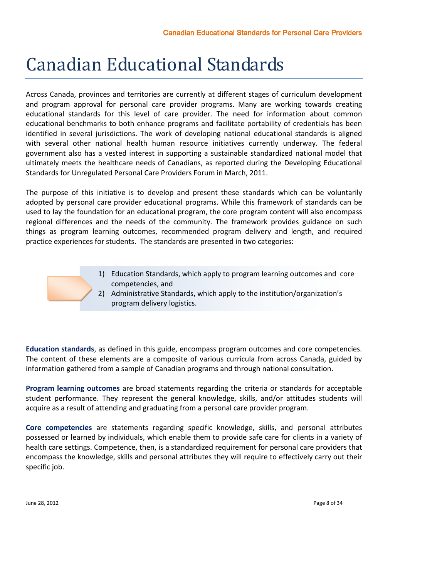# Canadian Educational Standards

Across Canada, provinces and territories are currently at different stages of curriculum development and program approval for personal care provider programs. Many are working towards creating educational standards for this level of care provider. The need for information about common educational benchmarks to both enhance programs and facilitate portability of credentials has been identified in several jurisdictions. The work of developing national educational standards is aligned with several other national health human resource initiatives currently underway. The federal government also has a vested interest in supporting a sustainable standardized national model that ultimately meets the healthcare needs of Canadians, as reported during the Developing Educational Standards for Unregulated Personal Care Providers Forum in March, 2011.

The purpose of this initiative is to develop and present these standards which can be voluntarily adopted by personal care provider educational programs. While this framework of standards can be used to lay the foundation for an educational program, the core program content will also encompass regional differences and the needs of the community. The framework provides guidance on such things as program learning outcomes, recommended program delivery and length, and required practice experiences for students. The standards are presented in two categories:

- 1) Education Standards, which apply to program learning outcomes and core competencies, and
- 2) Administrative Standards, which apply to the institution/organization's program delivery logistics.

**Education standards**, as defined in this guide, encompass program outcomes and core competencies. The content of these elements are a composite of various curricula from across Canada, guided by information gathered from a sample of Canadian programs and through national consultation.

**Program learning outcomes** are broad statements regarding the criteria or standards for acceptable student performance. They represent the general knowledge, skills, and/or attitudes students will acquire as a result of attending and graduating from a personal care provider program.

**Core competencies** are statements regarding specific knowledge, skills, and personal attributes possessed or learned by individuals, which enable them to provide safe care for clients in a variety of health care settings. Competence, then, is a standardized requirement for personal care providers that encompass the knowledge, skills and personal attributes they will require to effectively carry out their specific job.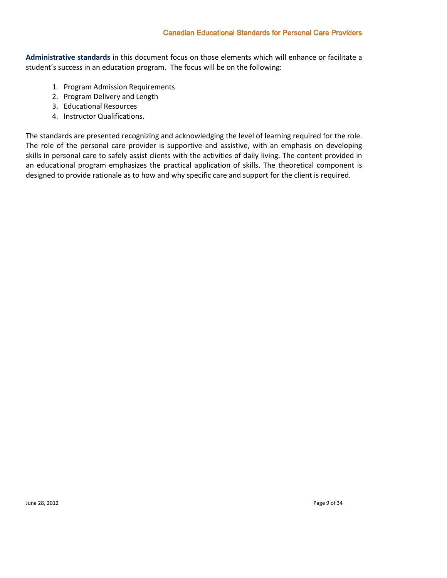### Canadian Educational Standards for Personal Care Providers

**Administrative standards** in this document focus on those elements which will enhance or facilitate a student's success in an education program. The focus will be on the following:

- 1. Program Admission Requirements
- 2. Program Delivery and Length
- 3. Educational Resources
- 4. Instructor Qualifications.

The standards are presented recognizing and acknowledging the level of learning required for the role. The role of the personal care provider is supportive and assistive, with an emphasis on developing skills in personal care to safely assist clients with the activities of daily living. The content provided in an educational program emphasizes the practical application of skills. The theoretical component is designed to provide rationale as to how and why specific care and support for the client is required.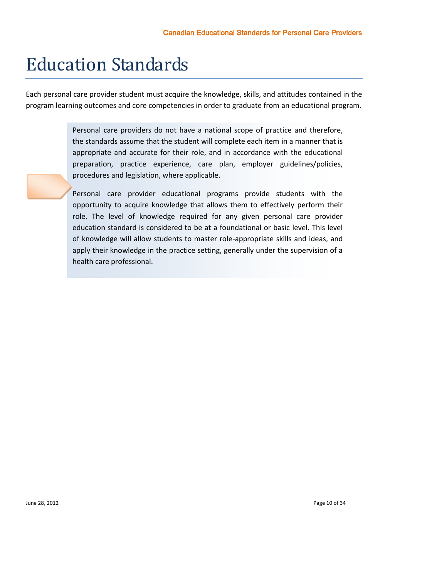# <span id="page-11-0"></span>Education Standards

Each personal care provider student must acquire the knowledge, skills, and attitudes contained in the program learning outcomes and core competencies in order to graduate from an educational program.

> Personal care providers do not have a national scope of practice and therefore, the standards assume that the student will complete each item in a manner that is appropriate and accurate for their role, and in accordance with the educational preparation, practice experience, care plan, employer guidelines/policies, procedures and legislation, where applicable.

> Personal care provider educational programs provide students with the opportunity to acquire knowledge that allows them to effectively perform their role. The level of knowledge required for any given personal care provider education standard is considered to be at a foundational or basic level. This level of knowledge will allow students to master role-appropriate skills and ideas, and apply their knowledge in the practice setting, generally under the supervision of a health care professional.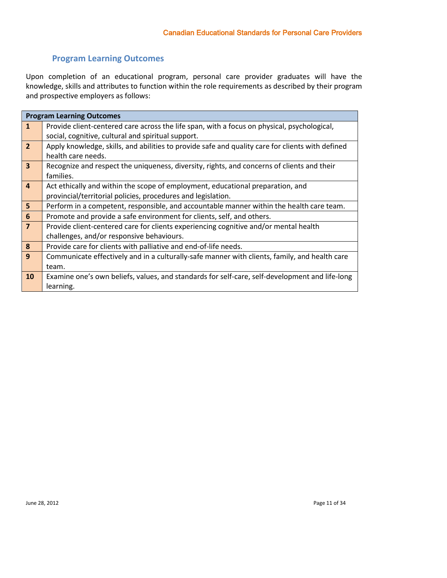## **Program Learning Outcomes**

<span id="page-12-0"></span>Upon completion of an educational program, personal care provider graduates will have the knowledge, skills and attributes to function within the role requirements as described by their program and prospective employers as follows:

|                         | <b>Program Learning Outcomes</b>                                                                 |
|-------------------------|--------------------------------------------------------------------------------------------------|
| $\mathbf{1}$            | Provide client-centered care across the life span, with a focus on physical, psychological,      |
|                         | social, cognitive, cultural and spiritual support.                                               |
| $\overline{2}$          | Apply knowledge, skills, and abilities to provide safe and quality care for clients with defined |
|                         | health care needs.                                                                               |
| $\overline{\mathbf{3}}$ | Recognize and respect the uniqueness, diversity, rights, and concerns of clients and their       |
|                         | families.                                                                                        |
| $\overline{a}$          | Act ethically and within the scope of employment, educational preparation, and                   |
|                         | provincial/territorial policies, procedures and legislation.                                     |
| 5                       | Perform in a competent, responsible, and accountable manner within the health care team.         |
| $6\phantom{1}$          | Promote and provide a safe environment for clients, self, and others.                            |
| $\overline{7}$          | Provide client-centered care for clients experiencing cognitive and/or mental health             |
|                         | challenges, and/or responsive behaviours.                                                        |
| 8                       | Provide care for clients with palliative and end-of-life needs.                                  |
| 9                       | Communicate effectively and in a culturally-safe manner with clients, family, and health care    |
|                         | team.                                                                                            |
| <b>10</b>               | Examine one's own beliefs, values, and standards for self-care, self-development and life-long   |
|                         | learning.                                                                                        |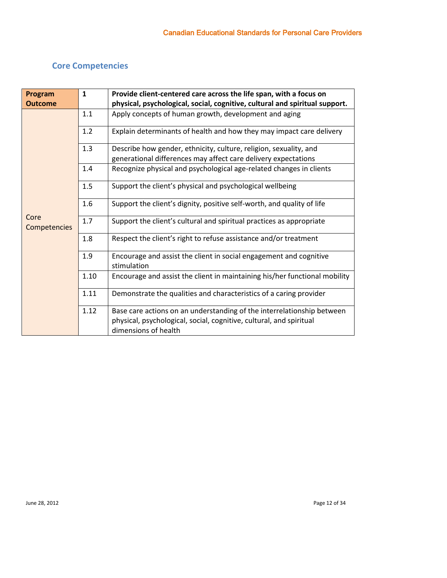# <span id="page-13-0"></span>**Core Competencies**

| Program              | $\mathbf{1}$ | Provide client-centered care across the life span, with a focus on                                                                            |
|----------------------|--------------|-----------------------------------------------------------------------------------------------------------------------------------------------|
| <b>Outcome</b>       |              | physical, psychological, social, cognitive, cultural and spiritual support.                                                                   |
|                      | 1.1          | Apply concepts of human growth, development and aging                                                                                         |
|                      | 1.2          | Explain determinants of health and how they may impact care delivery                                                                          |
|                      | 1.3          | Describe how gender, ethnicity, culture, religion, sexuality, and<br>generational differences may affect care delivery expectations           |
|                      | 1.4          | Recognize physical and psychological age-related changes in clients                                                                           |
|                      | 1.5          | Support the client's physical and psychological wellbeing                                                                                     |
|                      | 1.6          | Support the client's dignity, positive self-worth, and quality of life                                                                        |
| Core<br>Competencies | 1.7          | Support the client's cultural and spiritual practices as appropriate                                                                          |
|                      | 1.8          | Respect the client's right to refuse assistance and/or treatment                                                                              |
|                      | 1.9          | Encourage and assist the client in social engagement and cognitive<br>stimulation                                                             |
|                      | 1.10         | Encourage and assist the client in maintaining his/her functional mobility                                                                    |
|                      | 1.11         | Demonstrate the qualities and characteristics of a caring provider                                                                            |
|                      | 1.12         | Base care actions on an understanding of the interrelationship between<br>physical, psychological, social, cognitive, cultural, and spiritual |
|                      |              | dimensions of health                                                                                                                          |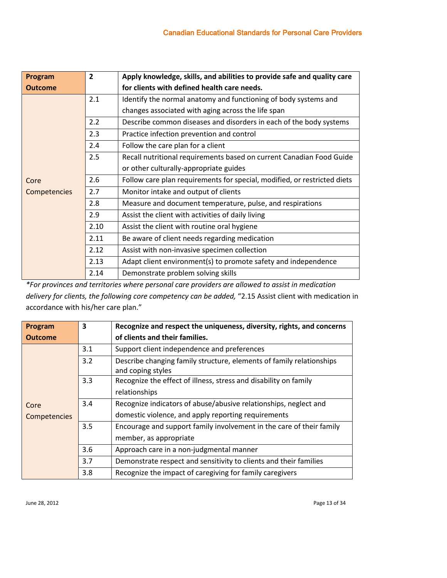| Program        | $\overline{2}$ | Apply knowledge, skills, and abilities to provide safe and quality care  |
|----------------|----------------|--------------------------------------------------------------------------|
| <b>Outcome</b> |                | for clients with defined health care needs.                              |
|                | 2.1            | Identify the normal anatomy and functioning of body systems and          |
|                |                | changes associated with aging across the life span                       |
|                | 2.2            | Describe common diseases and disorders in each of the body systems       |
|                | 2.3            | Practice infection prevention and control                                |
|                | 2.4            | Follow the care plan for a client                                        |
|                | 2.5            | Recall nutritional requirements based on current Canadian Food Guide     |
|                |                | or other culturally-appropriate guides                                   |
| Core           | 2.6            | Follow care plan requirements for special, modified, or restricted diets |
| Competencies   | 2.7            | Monitor intake and output of clients                                     |
|                | 2.8            | Measure and document temperature, pulse, and respirations                |
|                | 2.9            | Assist the client with activities of daily living                        |
|                | 2.10           | Assist the client with routine oral hygiene                              |
|                | 2.11           | Be aware of client needs regarding medication                            |
|                | 2.12           | Assist with non-invasive specimen collection                             |
|                | 2.13           | Adapt client environment(s) to promote safety and independence           |
|                | 2.14           | Demonstrate problem solving skills                                       |

*\*For provinces and territories where personal care providers are allowed to assist in medication delivery for clients, the following core competency can be added,* "2.15 Assist client with medication in accordance with his/her care plan."

| Program        | 3   | Recognize and respect the uniqueness, diversity, rights, and concerns                     |
|----------------|-----|-------------------------------------------------------------------------------------------|
| <b>Outcome</b> |     | of clients and their families.                                                            |
|                | 3.1 | Support client independence and preferences                                               |
|                | 3.2 | Describe changing family structure, elements of family relationships<br>and coping styles |
|                | 3.3 | Recognize the effect of illness, stress and disability on family                          |
|                |     | relationships                                                                             |
| Core           | 3.4 | Recognize indicators of abuse/abusive relationships, neglect and                          |
| Competencies   |     | domestic violence, and apply reporting requirements                                       |
|                | 3.5 | Encourage and support family involvement in the care of their family                      |
|                |     | member, as appropriate                                                                    |
|                | 3.6 | Approach care in a non-judgmental manner                                                  |
|                | 3.7 | Demonstrate respect and sensitivity to clients and their families                         |
|                | 3.8 | Recognize the impact of caregiving for family caregivers                                  |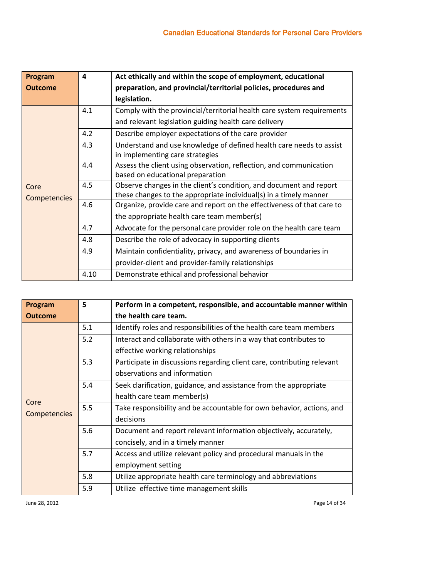| Program        | 4    | Act ethically and within the scope of employment, educational          |  |  |  |  |
|----------------|------|------------------------------------------------------------------------|--|--|--|--|
| <b>Outcome</b> |      | preparation, and provincial/territorial policies, procedures and       |  |  |  |  |
|                |      | legislation.                                                           |  |  |  |  |
|                | 4.1  | Comply with the provincial/territorial health care system requirements |  |  |  |  |
|                |      | and relevant legislation guiding health care delivery                  |  |  |  |  |
|                | 4.2  | Describe employer expectations of the care provider                    |  |  |  |  |
|                | 4.3  | Understand and use knowledge of defined health care needs to assist    |  |  |  |  |
|                |      | in implementing care strategies                                        |  |  |  |  |
|                | 4.4  | Assess the client using observation, reflection, and communication     |  |  |  |  |
|                |      | based on educational preparation                                       |  |  |  |  |
| Core           | 4.5  | Observe changes in the client's condition, and document and report     |  |  |  |  |
| Competencies   |      | these changes to the appropriate individual(s) in a timely manner      |  |  |  |  |
|                | 4.6  | Organize, provide care and report on the effectiveness of that care to |  |  |  |  |
|                |      | the appropriate health care team member(s)                             |  |  |  |  |
|                | 4.7  | Advocate for the personal care provider role on the health care team   |  |  |  |  |
|                | 4.8  | Describe the role of advocacy in supporting clients                    |  |  |  |  |
|                | 4.9  | Maintain confidentiality, privacy, and awareness of boundaries in      |  |  |  |  |
|                |      | provider-client and provider-family relationships                      |  |  |  |  |
|                | 4.10 | Demonstrate ethical and professional behavior                          |  |  |  |  |

| Program        | 5   | Perform in a competent, responsible, and accountable manner within      |
|----------------|-----|-------------------------------------------------------------------------|
| <b>Outcome</b> |     | the health care team.                                                   |
|                | 5.1 | Identify roles and responsibilities of the health care team members     |
|                | 5.2 | Interact and collaborate with others in a way that contributes to       |
|                |     | effective working relationships                                         |
|                | 5.3 | Participate in discussions regarding client care, contributing relevant |
|                |     | observations and information                                            |
|                | 5.4 | Seek clarification, guidance, and assistance from the appropriate       |
| Core           |     | health care team member(s)                                              |
| Competencies   | 5.5 | Take responsibility and be accountable for own behavior, actions, and   |
|                |     | decisions                                                               |
|                | 5.6 | Document and report relevant information objectively, accurately,       |
|                |     | concisely, and in a timely manner                                       |
|                | 5.7 | Access and utilize relevant policy and procedural manuals in the        |
|                |     | employment setting                                                      |
|                | 5.8 | Utilize appropriate health care terminology and abbreviations           |
|                | 5.9 | Utilize effective time management skills                                |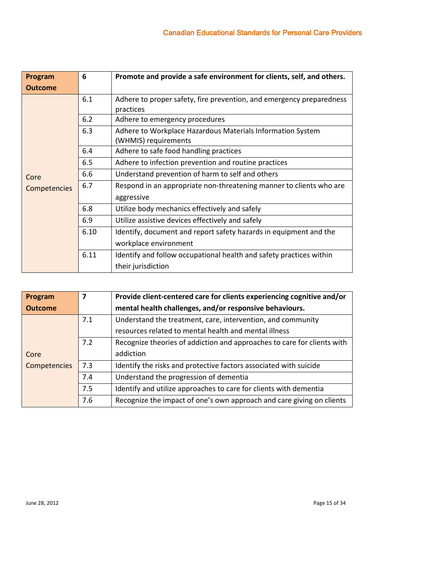| Program        | 6    | Promote and provide a safe environment for clients, self, and others.              |
|----------------|------|------------------------------------------------------------------------------------|
| <b>Outcome</b> |      |                                                                                    |
|                | 6.1  | Adhere to proper safety, fire prevention, and emergency preparedness<br>practices  |
|                | 6.2  | Adhere to emergency procedures                                                     |
|                | 6.3  | Adhere to Workplace Hazardous Materials Information System<br>(WHMIS) requirements |
|                | 6.4  | Adhere to safe food handling practices                                             |
|                | 6.5  | Adhere to infection prevention and routine practices                               |
| Core           | 6.6  | Understand prevention of harm to self and others                                   |
| Competencies   | 6.7  | Respond in an appropriate non-threatening manner to clients who are                |
|                |      | aggressive                                                                         |
|                | 6.8  | Utilize body mechanics effectively and safely                                      |
|                | 6.9  | Utilize assistive devices effectively and safely                                   |
|                | 6.10 | Identify, document and report safety hazards in equipment and the                  |
|                |      | workplace environment                                                              |
|                | 6.11 | Identify and follow occupational health and safety practices within                |
|                |      | their jurisdiction                                                                 |

| Program        | $\overline{\mathbf{z}}$ | Provide client-centered care for clients experiencing cognitive and/or  |
|----------------|-------------------------|-------------------------------------------------------------------------|
| <b>Outcome</b> |                         | mental health challenges, and/or responsive behaviours.                 |
|                | 7.1                     | Understand the treatment, care, intervention, and community             |
|                |                         | resources related to mental health and mental illness                   |
|                | 7.2                     | Recognize theories of addiction and approaches to care for clients with |
| Core           |                         | addiction                                                               |
| Competencies   | 7.3                     | Identify the risks and protective factors associated with suicide       |
|                | 7.4                     | Understand the progression of dementia                                  |
|                | 7.5                     | Identify and utilize approaches to care for clients with dementia       |
|                | 7.6                     | Recognize the impact of one's own approach and care giving on clients   |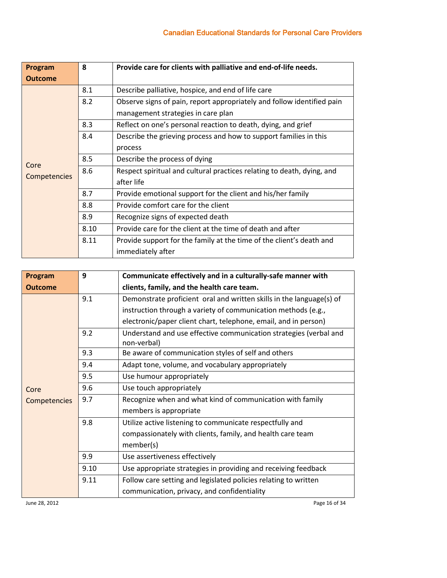| Program             | 8    | Provide care for clients with palliative and end-of-life needs.        |
|---------------------|------|------------------------------------------------------------------------|
| <b>Outcome</b>      |      |                                                                        |
|                     | 8.1  | Describe palliative, hospice, and end of life care                     |
|                     | 8.2  | Observe signs of pain, report appropriately and follow identified pain |
|                     |      | management strategies in care plan                                     |
|                     | 8.3  | Reflect on one's personal reaction to death, dying, and grief          |
|                     | 8.4  | Describe the grieving process and how to support families in this      |
|                     |      | process                                                                |
| Core                | 8.5  | Describe the process of dying                                          |
|                     | 8.6  | Respect spiritual and cultural practices relating to death, dying, and |
| <b>Competencies</b> |      | after life                                                             |
|                     | 8.7  | Provide emotional support for the client and his/her family            |
|                     | 8.8  | Provide comfort care for the client                                    |
|                     | 8.9  | Recognize signs of expected death                                      |
|                     | 8.10 | Provide care for the client at the time of death and after             |
|                     | 8.11 | Provide support for the family at the time of the client's death and   |
|                     |      | immediately after                                                      |

| Program        | 9    | Communicate effectively and in a culturally-safe manner with         |
|----------------|------|----------------------------------------------------------------------|
| <b>Outcome</b> |      | clients, family, and the health care team.                           |
|                | 9.1  | Demonstrate proficient oral and written skills in the language(s) of |
|                |      | instruction through a variety of communication methods (e.g.,        |
|                |      | electronic/paper client chart, telephone, email, and in person)      |
|                | 9.2  | Understand and use effective communication strategies (verbal and    |
|                |      | non-verbal)                                                          |
|                | 9.3  | Be aware of communication styles of self and others                  |
|                | 9.4  | Adapt tone, volume, and vocabulary appropriately                     |
| Core           | 9.5  | Use humour appropriately                                             |
|                | 9.6  | Use touch appropriately                                              |
| Competencies   | 9.7  | Recognize when and what kind of communication with family            |
|                |      | members is appropriate                                               |
|                | 9.8  | Utilize active listening to communicate respectfully and             |
|                |      | compassionately with clients, family, and health care team           |
|                |      | member(s)                                                            |
|                | 9.9  | Use assertiveness effectively                                        |
|                | 9.10 | Use appropriate strategies in providing and receiving feedback       |
|                | 9.11 | Follow care setting and legislated policies relating to written      |
|                |      | communication, privacy, and confidentiality                          |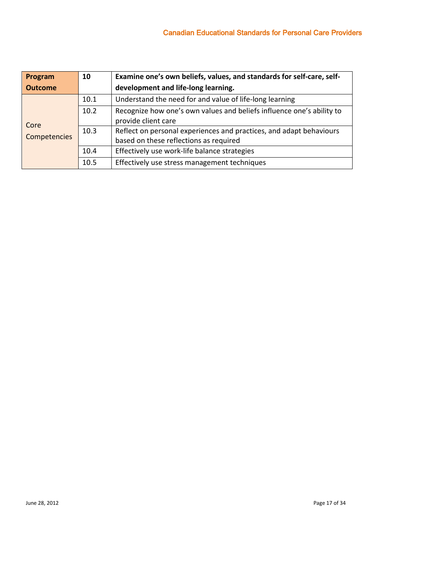| Program        | 10   | Examine one's own beliefs, values, and standards for self-care, self-                                         |
|----------------|------|---------------------------------------------------------------------------------------------------------------|
| <b>Outcome</b> |      | development and life-long learning.                                                                           |
|                | 10.1 | Understand the need for and value of life-long learning                                                       |
| Core           | 10.2 | Recognize how one's own values and beliefs influence one's ability to<br>provide client care                  |
| Competencies   | 10.3 | Reflect on personal experiences and practices, and adapt behaviours<br>based on these reflections as required |
|                | 10.4 | Effectively use work-life balance strategies                                                                  |
|                | 10.5 | Effectively use stress management techniques                                                                  |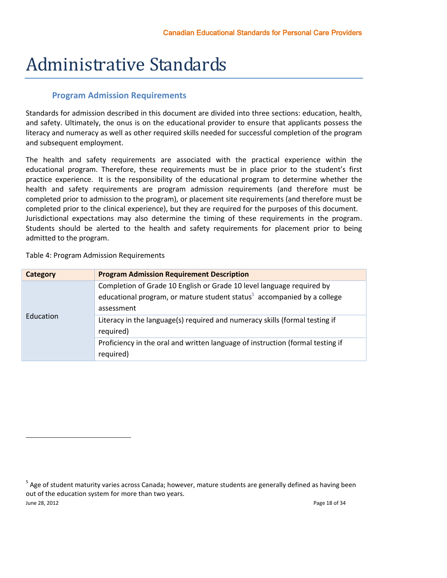# <span id="page-19-0"></span>Administrative Standards

### **Program Admission Requirements**

<span id="page-19-1"></span>Standards for admission described in this document are divided into three sections: education, health, and safety. Ultimately, the onus is on the educational provider to ensure that applicants possess the literacy and numeracy as well as other required skills needed for successful completion of the program and subsequent employment.

The health and safety requirements are associated with the practical experience within the educational program. Therefore, these requirements must be in place prior to the student's first practice experience. It is the responsibility of the educational program to determine whether the health and safety requirements are program admission requirements (and therefore must be completed prior to admission to the program), or placement site requirements (and therefore must be completed prior to the clinical experience), but they are required for the purposes of this document. Jurisdictional expectations may also determine the timing of these requirements in the program. Students should be alerted to the health and safety requirements for placement prior to being admitted to the program.

Table 4: Program Admission Requirements

| Category  | <b>Program Admission Requirement Description</b>                                                                                                                           |
|-----------|----------------------------------------------------------------------------------------------------------------------------------------------------------------------------|
|           | Completion of Grade 10 English or Grade 10 level language required by<br>educational program, or mature student status <sup>5</sup> accompanied by a college<br>assessment |
| Education | Literacy in the language(s) required and numeracy skills (formal testing if<br>required)                                                                                   |
|           | Proficiency in the oral and written language of instruction (formal testing if<br>required)                                                                                |

June 28, 2012 Page 18 of 34 <sup>5</sup> Age of student maturity varies across Canada; however, mature students are generally defined as having been out of the education system for more than two years.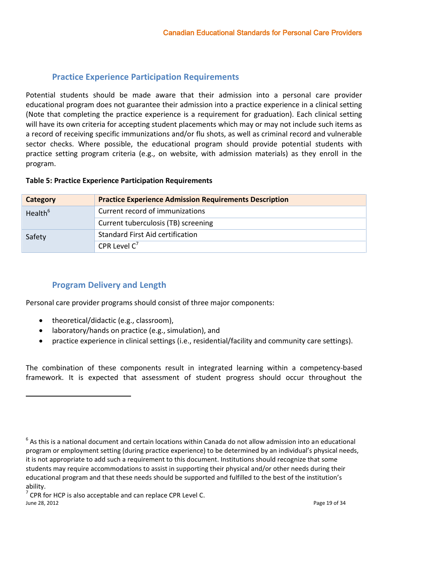### **Practice Experience Participation Requirements**

<span id="page-20-0"></span>Potential students should be made aware that their admission into a personal care provider educational program does not guarantee their admission into a practice experience in a clinical setting (Note that completing the practice experience is a requirement for graduation). Each clinical setting will have its own criteria for accepting student placements which may or may not include such items as a record of receiving specific immunizations and/or flu shots, as well as criminal record and vulnerable sector checks. Where possible, the educational program should provide potential students with practice setting program criteria (e.g., on website, with admission materials) as they enroll in the program.

#### **Table 5: Practice Experience Participation Requirements**

| Category            | <b>Practice Experience Admission Requirements Description</b> |
|---------------------|---------------------------------------------------------------|
| Health <sup>6</sup> | Current record of immunizations                               |
|                     | Current tuberculosis (TB) screening                           |
| Safety              | Standard First Aid certification                              |
|                     | CPR Level $C^7$                                               |

### **Program Delivery and Length**

<span id="page-20-1"></span>Personal care provider programs should consist of three major components:

theoretical/didactic (e.g., classroom),

 $\overline{a}$ 

- laboratory/hands on practice (e.g., simulation), and
- practice experience in clinical settings (i.e., residential/facility and community care settings).

The combination of these components result in integrated learning within a competency-based framework. It is expected that assessment of student progress should occur throughout the

 $^6$  As this is a national document and certain locations within Canada do not allow admission into an educational program or employment setting (during practice experience) to be determined by an individual's physical needs, it is not appropriate to add such a requirement to this document. Institutions should recognize that some students may require accommodations to assist in supporting their physical and/or other needs during their educational program and that these needs should be supported and fulfilled to the best of the institution's ability.

June 28, 2012 Page 19 of 34  $7$  CPR for HCP is also acceptable and can replace CPR Level C.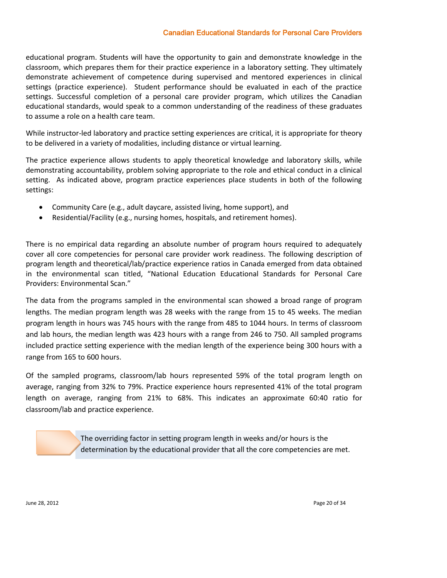#### Canadian Educational Standards for Personal Care Providers

educational program. Students will have the opportunity to gain and demonstrate knowledge in the classroom, which prepares them for their practice experience in a laboratory setting. They ultimately demonstrate achievement of competence during supervised and mentored experiences in clinical settings (practice experience). Student performance should be evaluated in each of the practice settings. Successful completion of a personal care provider program, which utilizes the Canadian educational standards, would speak to a common understanding of the readiness of these graduates to assume a role on a health care team.

While instructor-led laboratory and practice setting experiences are critical, it is appropriate for theory to be delivered in a variety of modalities, including distance or virtual learning.

The practice experience allows students to apply theoretical knowledge and laboratory skills, while demonstrating accountability, problem solving appropriate to the role and ethical conduct in a clinical setting. As indicated above, program practice experiences place students in both of the following settings:

- Community Care (e.g., adult daycare, assisted living, home support), and
- Residential/Facility (e.g., nursing homes, hospitals, and retirement homes).

There is no empirical data regarding an absolute number of program hours required to adequately cover all core competencies for personal care provider work readiness. The following description of program length and theoretical/lab/practice experience ratios in Canada emerged from data obtained in the environmental scan titled, "National Education Educational Standards for Personal Care Providers: Environmental Scan."

The data from the programs sampled in the environmental scan showed a broad range of program lengths. The median program length was 28 weeks with the range from 15 to 45 weeks. The median program length in hours was 745 hours with the range from 485 to 1044 hours. In terms of classroom and lab hours, the median length was 423 hours with a range from 246 to 750. All sampled programs included practice setting experience with the median length of the experience being 300 hours with a range from 165 to 600 hours.

Of the sampled programs, classroom/lab hours represented 59% of the total program length on average, ranging from 32% to 79%. Practice experience hours represented 41% of the total program length on average, ranging from 21% to 68%. This indicates an approximate 60:40 ratio for classroom/lab and practice experience.

> The overriding factor in setting program length in weeks and/or hours is the determination by the educational provider that all the core competencies are met.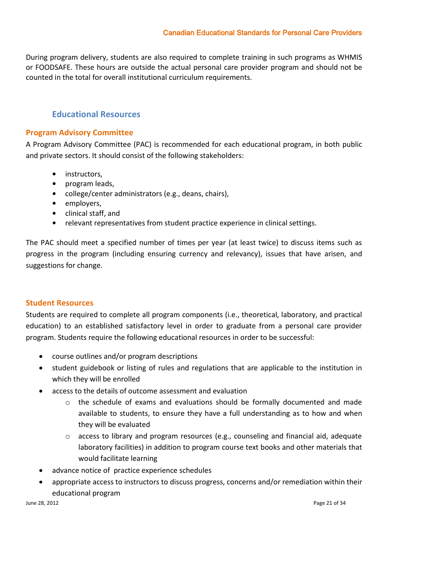### Canadian Educational Standards for Personal Care Providers

During program delivery, students are also required to complete training in such programs as WHMIS or FOODSAFE. These hours are outside the actual personal care provider program and should not be counted in the total for overall institutional curriculum requirements.

### **Educational Resources**

### <span id="page-22-1"></span><span id="page-22-0"></span>**Program Advisory Committee**

A Program Advisory Committee (PAC) is recommended for each educational program, in both public and private sectors. It should consist of the following stakeholders:

- **•** instructors,
- **•** program leads,
- **•** college/center administrators (e.g., deans, chairs),
- **•** employers,
- **•** clinical staff, and
- **•** relevant representatives from student practice experience in clinical settings.

The PAC should meet a specified number of times per year (at least twice) to discuss items such as progress in the program (including ensuring currency and relevancy), issues that have arisen, and suggestions for change.

#### <span id="page-22-2"></span>**Student Resources**

Students are required to complete all program components (i.e., theoretical, laboratory, and practical education) to an established satisfactory level in order to graduate from a personal care provider program. Students require the following educational resources in order to be successful:

- course outlines and/or program descriptions
- student guidebook or listing of rules and regulations that are applicable to the institution in which they will be enrolled
- access to the details of outcome assessment and evaluation
	- $\circ$  the schedule of exams and evaluations should be formally documented and made available to students, to ensure they have a full understanding as to how and when they will be evaluated
	- $\circ$  access to library and program resources (e.g., counseling and financial aid, adequate laboratory facilities) in addition to program course text books and other materials that would facilitate learning
- advance notice of practice experience schedules
- appropriate access to instructors to discuss progress, concerns and/or remediation within their educational program

June 28, 2012 Page 21 of 34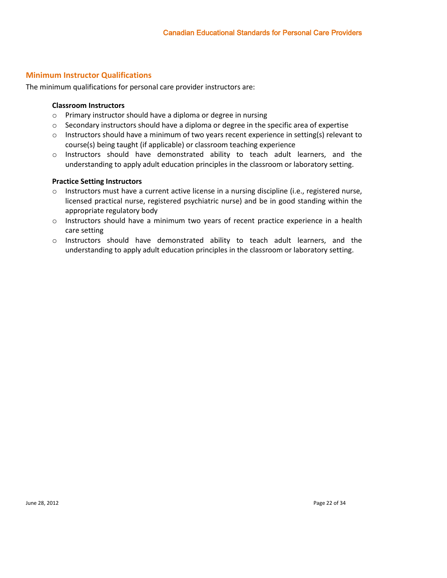### <span id="page-23-0"></span>**Minimum Instructor Qualifications**

The minimum qualifications for personal care provider instructors are:

### **Classroom Instructors**

- o Primary instructor should have a diploma or degree in nursing
- $\circ$  Secondary instructors should have a diploma or degree in the specific area of expertise
- o Instructors should have a minimum of two years recent experience in setting(s) relevant to course(s) being taught (if applicable) or classroom teaching experience
- o Instructors should have demonstrated ability to teach adult learners, and the understanding to apply adult education principles in the classroom or laboratory setting.

#### **Practice Setting Instructors**

- o Instructors must have a current active license in a nursing discipline (i.e., registered nurse, licensed practical nurse, registered psychiatric nurse) and be in good standing within the appropriate regulatory body
- o Instructors should have a minimum two years of recent practice experience in a health care setting
- o Instructors should have demonstrated ability to teach adult learners, and the understanding to apply adult education principles in the classroom or laboratory setting.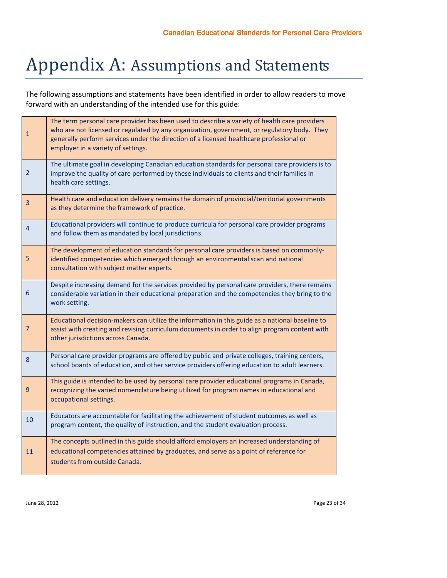# <span id="page-24-0"></span>Appendix A: Assumptions and Statements

The following assumptions and statements have been identified in order to allow readers to move forward with an understanding of the intended use for this guide:

| $\mathbf{1}$   | The term personal care provider has been used to describe a variety of health care providers<br>who are not licensed or regulated by any organization, government, or regulatory body. They<br>generally perform services under the direction of a licensed healthcare professional or<br>employer in a variety of settings. |
|----------------|------------------------------------------------------------------------------------------------------------------------------------------------------------------------------------------------------------------------------------------------------------------------------------------------------------------------------|
| $\overline{2}$ | The ultimate goal in developing Canadian education standards for personal care providers is to<br>improve the quality of care performed by these individuals to clients and their families in<br>health care settings.                                                                                                       |
| 3              | Health care and education delivery remains the domain of provincial/territorial governments<br>as they determine the framework of practice.                                                                                                                                                                                  |
| 4              | Educational providers will continue to produce curricula for personal care provider programs<br>and follow them as mandated by local jurisdictions.                                                                                                                                                                          |
| 5              | The development of education standards for personal care providers is based on commonly-<br>identified competencies which emerged through an environmental scan and national<br>consultation with subject matter experts.                                                                                                    |
| 6              | Despite increasing demand for the services provided by personal care providers, there remains<br>considerable variation in their educational preparation and the competencies they bring to the<br>work setting.                                                                                                             |
| $\overline{7}$ | Educational decision-makers can utilize the information in this guide as a national baseline to<br>assist with creating and revising curriculum documents in order to align program content with<br>other jurisdictions across Canada.                                                                                       |
| 8              | Personal care provider programs are offered by public and private colleges, training centers,<br>school boards of education, and other service providers offering education to adult learners.                                                                                                                               |
| 9              | This guide is intended to be used by personal care provider educational programs in Canada,<br>recognizing the varied nomenclature being utilized for program names in educational and<br>occupational settings.                                                                                                             |
| 10             | Educators are accountable for facilitating the achievement of student outcomes as well as<br>program content, the quality of instruction, and the student evaluation process.                                                                                                                                                |
| 11             | The concepts outlined in this guide should afford employers an increased understanding of<br>educational competencies attained by graduates, and serve as a point of reference for<br>students from outside Canada.                                                                                                          |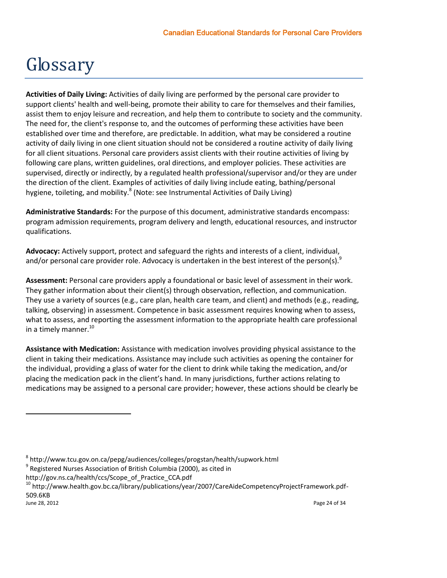# <span id="page-25-0"></span>Glossary

**Activities of Daily Living:** Activities of daily living are performed by the personal care provider to support clients' health and well-being, promote their ability to care for themselves and their families, assist them to enjoy leisure and recreation, and help them to contribute to society and the community. The need for, the client's response to, and the outcomes of performing these activities have been established over time and therefore, are predictable. In addition, what may be considered a routine activity of daily living in one client situation should not be considered a routine activity of daily living for all client situations. Personal care providers assist clients with their routine activities of living by following care plans, written guidelines, oral directions, and employer policies. These activities are supervised, directly or indirectly, by a regulated health professional/supervisor and/or they are under the direction of the client. Examples of activities of daily living include eating, bathing/personal hygiene, toileting, and mobility.<sup>8</sup> (Note: see Instrumental Activities of Daily Living)

**Administrative Standards:** For the purpose of this document, administrative standards encompass: program admission requirements, program delivery and length, educational resources, and instructor qualifications.

**Advocacy:** Actively support, protect and safeguard the rights and interests of a client, individual, and/or personal care provider role. Advocacy is undertaken in the best interest of the person(s).<sup>9</sup>

**Assessment:** Personal care providers apply a foundational or basic level of assessment in their work. They gather information about their client(s) through observation, reflection, and communication. They use a variety of sources (e.g., care plan, health care team, and client) and methods (e.g., reading, talking, observing) in assessment. Competence in basic assessment requires knowing when to assess, what to assess, and reporting the assessment information to the appropriate health care professional in a timely manner. $^{10}$ 

**Assistance with Medication:** Assistance with medication involves providing physical assistance to the client in taking their medications. Assistance may include such activities as opening the container for the individual, providing a glass of water for the client to drink while taking the medication, and/or placing the medication pack in the client's hand. In many jurisdictions, further actions relating to medications may be assigned to a personal care provider; however, these actions should be clearly be

June 28, 2012 Page 24 of 34

<sup>8</sup> http://www.tcu.gov.on.ca/pepg/audiences/colleges/progstan/health/supwork.html

 $^9$  Registered Nurses Association of British Columbia (2000), as cited in

http://gov.ns.ca/health/ccs/Scope\_of\_Practice\_CCA.pdf

<sup>10</sup> http://www.health.gov.bc.ca/library/publications/year/2007/CareAideCompetencyProjectFramework.pdf-509.6KB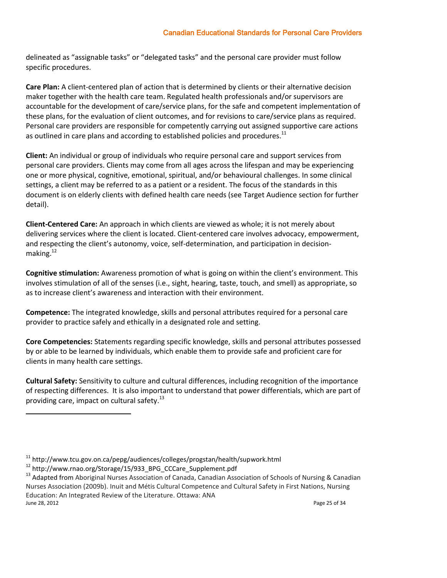delineated as "assignable tasks" or "delegated tasks" and the personal care provider must follow specific procedures.

**Care Plan:** A client-centered plan of action that is determined by clients or their alternative decision maker together with the health care team. Regulated health professionals and/or supervisors are accountable for the development of care/service plans, for the safe and competent implementation of these plans, for the evaluation of client outcomes, and for revisions to care/service plans as required. Personal care providers are responsible for competently carrying out assigned supportive care actions as outlined in care plans and according to established policies and procedures.<sup>11</sup>

**Client:** An individual or group of individuals who require personal care and support services from personal care providers. Clients may come from all ages across the lifespan and may be experiencing one or more physical, cognitive, emotional, spiritual, and/or behavioural challenges. In some clinical settings, a client may be referred to as a patient or a resident. The focus of the standards in this document is on elderly clients with defined health care needs (see Target Audience section for further detail).

**Client-Centered Care:** An approach in which clients are viewed as whole; it is not merely about delivering services where the client is located. Client-centered care involves advocacy, empowerment, and respecting the client's autonomy, voice, self-determination, and participation in decisionmaking. $12$ 

**Cognitive stimulation:** Awareness promotion of what is going on within the client's environment. This involves stimulation of all of the senses (i.e., sight, hearing, taste, touch, and smell) as appropriate, so as to increase client's awareness and interaction with their environment.

**Competence:** The integrated knowledge, skills and personal attributes required for a personal care provider to practice safely and ethically in a designated role and setting.

**Core Competencies:** Statements regarding specific knowledge, skills and personal attributes possessed by or able to be learned by individuals, which enable them to provide safe and proficient care for clients in many health care settings.

**Cultural Safety:** Sensitivity to culture and cultural differences, including recognition of the importance of respecting differences. It is also important to understand that power differentials, which are part of providing care, impact on cultural safety. $^{13}$ 

<sup>&</sup>lt;sup>11</sup> http://www.tcu.gov.on.ca/pepg/audiences/colleges/progstan/health/supwork.html

<sup>12</sup> http://www.rnao.org/Storage/15/933\_BPG\_CCCare\_Supplement.pdf

June 28, 2012 Page 25 of 34 <sup>13</sup> Adapted from Aboriginal Nurses Association of Canada, Canadian Association of Schools of Nursing & Canadian Nurses Association (2009b). Inuit and Métis Cultural Competence and Cultural Safety in First Nations, Nursing Education: An Integrated Review of the Literature. Ottawa: ANA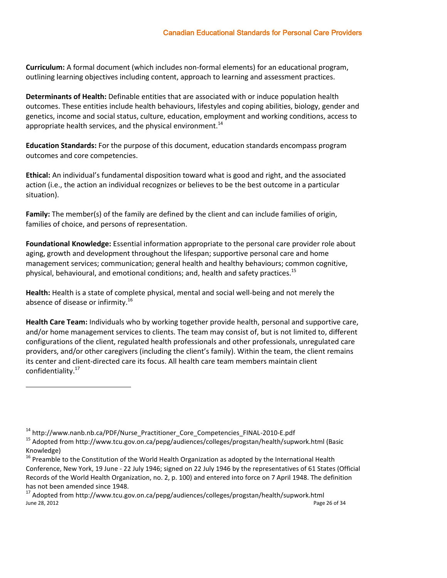**Curriculum:** A formal document (which includes non-formal elements) for an educational program, outlining learning objectives including content, approach to learning and assessment practices.

**Determinants of Health:** Definable entities that are associated with or induce population health outcomes. These entities include health behaviours, lifestyles and coping abilities, biology, gender and genetics, income and social status, culture, education, employment and working conditions, access to appropriate health services, and the physical environment. $14$ 

**Education Standards:** For the purpose of this document, education standards encompass program outcomes and core competencies.

**Ethical:** An individual's fundamental disposition toward what is good and right, and the associated action (i.e., the action an individual recognizes or believes to be the best outcome in a particular situation).

**Family:** The member(s) of the family are defined by the client and can include families of origin, families of choice, and persons of representation.

**Foundational Knowledge:** Essential information appropriate to the personal care provider role about aging, growth and development throughout the lifespan; supportive personal care and home management services; communication; general health and healthy behaviours; common cognitive, physical, behavioural, and emotional conditions; and, health and safety practices.<sup>15</sup>

**Health:** Health is a state of complete physical, mental and social well-being and not merely the absence of disease or infirmity.<sup>16</sup>

**Health Care Team:** Individuals who by working together provide health, personal and supportive care, and/or home management services to clients. The team may consist of, but is not limited to, different configurations of the client, regulated health professionals and other professionals, unregulated care providers, and/or other caregivers (including the client's family). Within the team, the client remains its center and client-directed care its focus. All health care team members maintain client confidentiality.<sup>17</sup>

<sup>14</sup> http://www.nanb.nb.ca/PDF/Nurse\_Practitioner\_Core\_Competencies\_FINAL-2010-E.pdf

<sup>15</sup> Adopted from http://www.tcu.gov.on.ca/pepg/audiences/colleges/progstan/health/supwork.html (Basic Knowledge)

<sup>&</sup>lt;sup>16</sup> Preamble to the Constitution of the World Health Organization as adopted by the International Health Conference, New York, 19 June - 22 July 1946; signed on 22 July 1946 by the representatives of 61 States (Official Records of the World Health Organization, no. 2, p. 100) and entered into force on 7 April 1948. The definition has not been amended since 1948.

June 28, 2012 Page 26 of 34 <sup>17</sup> Adopted from http://www.tcu.gov.on.ca/pepg/audiences/colleges/progstan/health/supwork.html<br><sup>June</sup> 28, 2012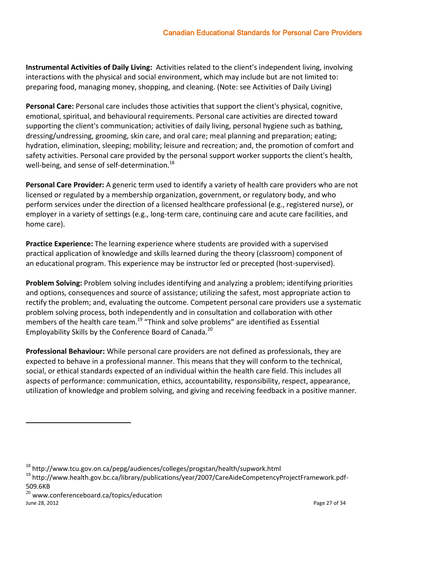**Instrumental Activities of Daily Living:** Activities related to the client's independent living, involving interactions with the physical and social environment, which may include but are not limited to: preparing food, managing money, shopping, and cleaning. (Note: see Activities of Daily Living)

**Personal Care:** Personal care includes those activities that support the client's physical, cognitive, emotional, spiritual, and behavioural requirements. Personal care activities are directed toward supporting the client's communication; activities of daily living, personal hygiene such as bathing, dressing/undressing, grooming, skin care, and oral care; meal planning and preparation; eating; hydration, elimination, sleeping; mobility; leisure and recreation; and, the promotion of comfort and safety activities. Personal care provided by the personal support worker supports the client's health, well-being, and sense of self-determination.<sup>18</sup>

**Personal Care Provider:** A generic term used to identify a variety of health care providers who are not licensed or regulated by a membership organization, government, or regulatory body, and who perform services under the direction of a licensed healthcare professional (e.g., registered nurse), or employer in a variety of settings (e.g., long-term care, continuing care and acute care facilities, and home care).

**Practice Experience:** The learning experience where students are provided with a supervised practical application of knowledge and skills learned during the theory (classroom) component of an educational program. This experience may be instructor led or precepted (host-supervised).

**Problem Solving:** Problem solving includes identifying and analyzing a problem; identifying priorities and options, consequences and source of assistance; utilizing the safest, most appropriate action to rectify the problem; and, evaluating the outcome. Competent personal care providers use a systematic problem solving process, both independently and in consultation and collaboration with other members of the health care team.<sup>19</sup> "Think and solve problems" are identified as Essential Employability Skills by the Conference Board of Canada.<sup>20</sup>

**Professional Behaviour:** While personal care providers are not defined as professionals, they are expected to behave in a professional manner. This means that they will conform to the technical, social, or ethical standards expected of an individual within the health care field. This includes all aspects of performance: communication, ethics, accountability, responsibility, respect, appearance, utilization of knowledge and problem solving, and giving and receiving feedback in a positive manner.

June 28, 2012 Page 27 of 34  $^{20}$  www.conferenceboard.ca/topics/education

<sup>18</sup> http://www.tcu.gov.on.ca/pepg/audiences/colleges/progstan/health/supwork.html

<sup>19</sup> http://www.health.gov.bc.ca/library/publications/year/2007/CareAideCompetencyProjectFramework.pdf-509.6KB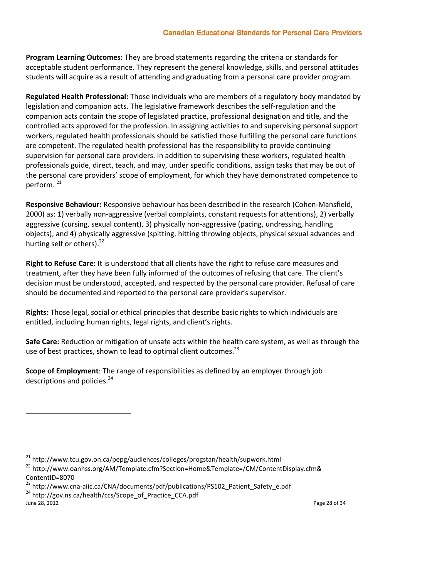**Program Learning Outcomes:** They are broad statements regarding the criteria or standards for acceptable student performance. They represent the general knowledge, skills, and personal attitudes students will acquire as a result of attending and graduating from a personal care provider program.

**Regulated Health Professional:** Those individuals who are members of a regulatory body mandated by legislation and companion acts. The legislative framework describes the self-regulation and the companion acts contain the scope of legislated practice, professional designation and title, and the controlled acts approved for the profession. In assigning activities to and supervising personal support workers, regulated health professionals should be satisfied those fulfilling the personal care functions are competent. The regulated health professional has the responsibility to provide continuing supervision for personal care providers. In addition to supervising these workers, regulated health professionals guide, direct, teach, and may, under specific conditions, assign tasks that may be out of the personal care providers' scope of employment, for which they have demonstrated competence to perform.<sup>21</sup>

**Responsive Behaviour:** Responsive behaviour has been described in the research (Cohen‐Mansfield, 2000) as: 1) verbally non‐aggressive (verbal complaints, constant requests for attentions), 2) verbally aggressive (cursing, sexual content), 3) physically non-aggressive (pacing, undressing, handling objects), and 4) physically aggressive (spitting, hitting throwing objects, physical sexual advances and hurting self or others).<sup>22</sup>

**Right to Refuse Care:** It is understood that all clients have the right to refuse care measures and treatment, after they have been fully informed of the outcomes of refusing that care. The client's decision must be understood, accepted, and respected by the personal care provider. Refusal of care should be documented and reported to the personal care provider's supervisor.

**Rights:** Those legal, social or ethical principles that describe basic rights to which individuals are entitled, including human rights, legal rights, and client's rights.

**Safe Care:** Reduction or mitigation of unsafe acts within the health care system, as well as through the use of best practices, shown to lead to optimal client outcomes.<sup>23</sup>

**Scope of Employment**: The range of responsibilities as defined by an employer through job descriptions and policies.<sup>24</sup>

June 28, 2012 Page 28 of 34

<sup>21</sup> http://www.tcu.gov.on.ca/pepg/audiences/colleges/progstan/health/supwork.html

 $^{22}$  http://www.oanhss.org/AM/Template.cfm?Section=Home&Template=/CM/ContentDisplay.cfm& ContentID=8070

<sup>&</sup>lt;sup>23</sup> http://www.cna-aiic.ca/CNA/documents/pdf/publications/PS102\_Patient\_Safety\_e.pdf <sup>24</sup> http://gov.ns.ca/health/ccs/Scope\_of\_Practice\_CCA.pdf<br>June 28, 2012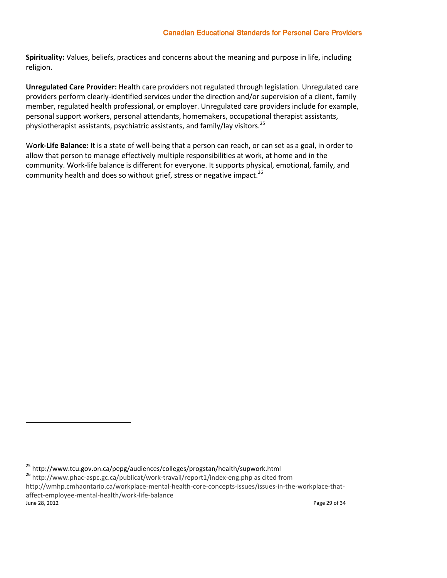### Canadian Educational Standards for Personal Care Providers

**Spirituality:** Values, beliefs, practices and concerns about the meaning and purpose in life, including religion.

**Unregulated Care Provider:** Health care providers not regulated through legislation. Unregulated care providers perform clearly-identified services under the direction and/or supervision of a client, family member, regulated health professional, or employer. Unregulated care providers include for example, personal support workers, personal attendants, homemakers, occupational therapist assistants, physiotherapist assistants, psychiatric assistants, and family/lay visitors.<sup>25</sup>

W**ork-Life Balance:** It is a state of well-being that a person can reach, or can set as a goal, in order to allow that person to manage effectively multiple responsibilities at work, at home and in the community. Work-life balance is different for everyone. It supports physical, emotional, family, and community health and does so without grief, stress or negative impact.<sup>26</sup>

 $\overline{a}$ 

June 28, 2012 Page 29 of 34

<sup>25</sup> http://www.tcu.gov.on.ca/pepg/audiences/colleges/progstan/health/supwork.html

<sup>26</sup> http://www.phac-aspc.gc.ca/publicat/work-travail/report1/index-eng.php as cited from

http://wmhp.cmhaontario.ca/workplace-mental-health-core-concepts-issues/issues-in-the-workplace-thataffect-employee-mental-health/work-life-balance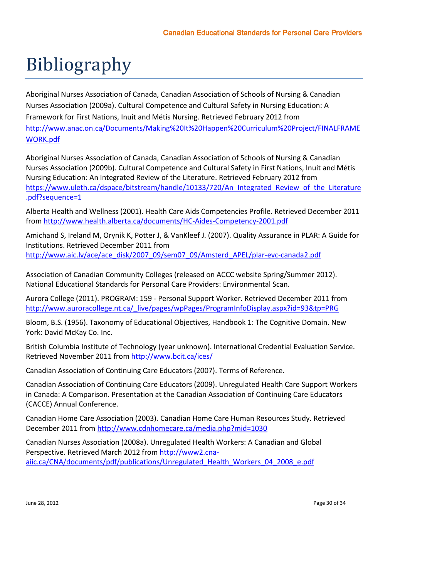# <span id="page-31-0"></span>Bibliography

Aboriginal Nurses Association of Canada, Canadian Association of Schools of Nursing & Canadian Nurses Association (2009a). Cultural Competence and Cultural Safety in Nursing Education: A Framework for First Nations, Inuit and Métis Nursing. Retrieved February 2012 from [http://www.anac.on.ca/Documents/Making%20It%20Happen%20Curriculum%20Project/FINALFRAME](http://www.anac.on.ca/Documents/Making%20It%20Happen%20Curriculum%20Project/FINALFRAMEWORK.pdf) [WORK.pdf](http://www.anac.on.ca/Documents/Making%20It%20Happen%20Curriculum%20Project/FINALFRAMEWORK.pdf)

Aboriginal Nurses Association of Canada, Canadian Association of Schools of Nursing & Canadian Nurses Association (2009b). Cultural Competence and Cultural Safety in First Nations, Inuit and Métis Nursing Education: An Integrated Review of the Literature. Retrieved February 2012 from [https://www.uleth.ca/dspace/bitstream/handle/10133/720/An\\_Integrated\\_Review\\_of\\_the\\_Literature](https://www.uleth.ca/dspace/bitstream/handle/10133/720/An_Integrated_Review_of_the_Literature.pdf?sequence=1) [.pdf?sequence=1](https://www.uleth.ca/dspace/bitstream/handle/10133/720/An_Integrated_Review_of_the_Literature.pdf?sequence=1)

Alberta Health and Wellness (2001). Health Care Aids Competencies Profile. Retrieved December 2011 fro[m http://www.health.alberta.ca/documents/HC-Aides-Competency-2001.pdf](http://www.health.alberta.ca/documents/HC-Aides-Competency-2001.pdf)

Amichand S, Ireland M, Orynik K, Potter J, & VanKleef J. (2007). Quality Assurance in PLAR: A Guide for Institutions. Retrieved December 2011 from [http://www.aic.lv/ace/ace\\_disk/2007\\_09/sem07\\_09/Amsterd\\_APEL/plar-evc-canada2.pdf](http://www.aic.lv/ace/ace_disk/2007_09/sem07_09/Amsterd_APEL/plar-evc-canada2.pdf)

Association of Canadian Community Colleges (released on ACCC website Spring/Summer 2012). National Educational Standards for Personal Care Providers: Environmental Scan.

Aurora College (2011). PROGRAM: 159 - Personal Support Worker. Retrieved December 2011 from [http://www.auroracollege.nt.ca/\\_live/pages/wpPages/ProgramInfoDisplay.aspx?id=93&tp=PRG](http://www.auroracollege.nt.ca/_live/pages/wpPages/ProgramInfoDisplay.aspx?id=93&tp=PRG)

Bloom, B.S. (1956). Taxonomy of Educational Objectives, Handbook 1: The Cognitive Domain. New York: David McKay Co. Inc.

British Columbia Institute of Technology (year unknown). International Credential Evaluation Service. Retrieved November 2011 from<http://www.bcit.ca/ices/>

Canadian Association of Continuing Care Educators (2007). Terms of Reference.

Canadian Association of Continuing Care Educators (2009). Unregulated Health Care Support Workers in Canada: A Comparison. Presentation at the Canadian Association of Continuing Care Educators (CACCE) Annual Conference.

Canadian Home Care Association (2003). Canadian Home Care Human Resources Study. Retrieved December 2011 from<http://www.cdnhomecare.ca/media.php?mid=1030>

Canadian Nurses Association (2008a). Unregulated Health Workers: A Canadian and Global Perspective. Retrieved March 2012 fro[m http://www2.cna](http://www2.cna-aiic.ca/CNA/documents/pdf/publications/Unregulated_Health_Workers_04_2008_e.pdf)[aiic.ca/CNA/documents/pdf/publications/Unregulated\\_Health\\_Workers\\_04\\_2008\\_e.pdf](http://www2.cna-aiic.ca/CNA/documents/pdf/publications/Unregulated_Health_Workers_04_2008_e.pdf)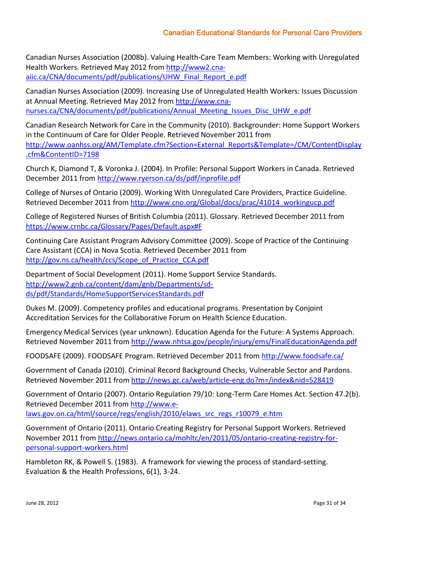Canadian Nurses Association (2008b). Valuing Health-Care Team Members: Working with Unregulated Health Workers. Retrieved May 2012 fro[m http://www2.cna](http://www2.cna-aiic.ca/CNA/documents/pdf/publications/UHW_Final_Report_e.pdf)[aiic.ca/CNA/documents/pdf/publications/UHW\\_Final\\_Report\\_e.pdf](http://www2.cna-aiic.ca/CNA/documents/pdf/publications/UHW_Final_Report_e.pdf)

Canadian Nurses Association (2009). Increasing Use of Unregulated Health Workers: Issues Discussion at Annual Meeting. Retrieved May 2012 fro[m http://www.cna](http://www.cna-nurses.ca/CNA/documents/pdf/publications/Annual_Meeting_Issues_Disc_UHW_e.pdf)[nurses.ca/CNA/documents/pdf/publications/Annual\\_Meeting\\_Issues\\_Disc\\_UHW\\_e.pdf](http://www.cna-nurses.ca/CNA/documents/pdf/publications/Annual_Meeting_Issues_Disc_UHW_e.pdf)

Canadian Research Network for Care in the Community (2010). Backgrounder: Home Support Workers in the Continuum of Care for Older People. Retrieved November 2011 from [http://www.oanhss.org/AM/Template.cfm?Section=External\\_Reports&Template=/CM/ContentDisplay](http://www.oanhss.org/AM/Template.cfm?Section=External_Reports&Template=/CM/ContentDisplay.cfm&ContentID=7198) [.cfm&ContentID=7198](http://www.oanhss.org/AM/Template.cfm?Section=External_Reports&Template=/CM/ContentDisplay.cfm&ContentID=7198)

Church K, Diamond T, & Voronka J. (2004). In Profile: Personal Support Workers in Canada. Retrieved December 2011 from<http://www.ryerson.ca/ds/pdf/inprofile.pdf>

College of Nurses of Ontario (2009). Working With Unregulated Care Providers, Practice Guideline. Retrieved December 2011 from [http://www.cno.org/Global/docs/prac/41014\\_workingucp.pdf](http://www.cno.org/Global/docs/prac/41014_workingucp.pdf)

College of Registered Nurses of British Columbia (2011). Glossary. Retrieved December 2011 from [https://www.crnbc.ca/Glossary/Pages/Default.aspx#F](https://www.crnbc.ca/Glossary/Pages/Default.aspx%23F)

Continuing Care Assistant Program Advisory Committee (2009). Scope of Practice of the Continuing Care Assistant (CCA) in Nova Scotia. Retrieved December 2011 from [http://gov.ns.ca/health/ccs/Scope\\_of\\_Practice\\_CCA.pdf](http://gov.ns.ca/health/ccs/Scope_of_Practice_CCA.pdf)

Department of Social Development (2011). Home Support Service Standards. [http://www2.gnb.ca/content/dam/gnb/Departments/sd](http://www2.gnb.ca/content/dam/gnb/Departments/sd-ds/pdf/Standards/HomeSupportServicesStandards.pdf)[ds/pdf/Standards/HomeSupportServicesStandards.pdf](http://www2.gnb.ca/content/dam/gnb/Departments/sd-ds/pdf/Standards/HomeSupportServicesStandards.pdf)

Dukes M. (2009). Competency profiles and educational programs. Presentation by Conjoint Accreditation Services for the Collaborative Forum on Health Science Education.

Emergency Medical Services (year unknown). Education Agenda for the Future: A Systems Approach. Retrieved November 2011 from<http://www.nhtsa.gov/people/injury/ems/FinalEducationAgenda.pdf>

FOODSAFE (2009). FOODSAFE Program. Retrieved December 2011 from<http://www.foodsafe.ca/>

Government of Canada (2010). Criminal Record Background Checks, Vulnerable Sector and Pardons. Retrieved November 2011 from<http://news.gc.ca/web/article-eng.do?m=/index&nid=528419>

Government of Ontario (2007). Ontario Regulation 79/10: Long-Term Care Homes Act. Section 47.2(b). Retrieved December 2011 from [http://www.e](http://www.e-laws.gov.on.ca/html/source/regs/english/2010/elaws_src_regs_r10079_e.htm)[laws.gov.on.ca/html/source/regs/english/2010/elaws\\_src\\_regs\\_r10079\\_e.htm](http://www.e-laws.gov.on.ca/html/source/regs/english/2010/elaws_src_regs_r10079_e.htm)

Government of Ontario (2011). Ontario Creating Registry for Personal Support Workers. Retrieved November 2011 from [http://news.ontario.ca/mohltc/en/2011/05/ontario-creating-registry-for](http://news.ontario.ca/mohltc/en/2011/05/ontario-creating-registry-for-personal-support-workers.html)[personal-support-workers.html](http://news.ontario.ca/mohltc/en/2011/05/ontario-creating-registry-for-personal-support-workers.html)

Hambleton RK, & Powell S. (1983). A framework for viewing the process of standard-setting. Evaluation & the Health Professions, 6(1), 3-24.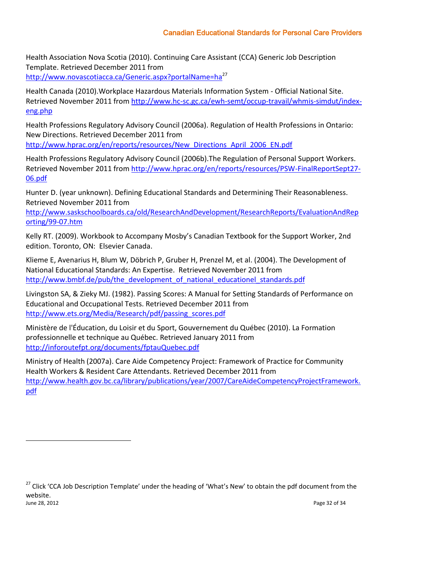Health Association Nova Scotia (2010). Continuing Care Assistant (CCA) Generic Job Description Template. Retrieved December 2011 from <http://www.novascotiacca.ca/Generic.aspx?portalName=ha><sup>27</sup>

Health Canada (2010).Workplace Hazardous Materials Information System - Official National Site. Retrieved November 2011 from [http://www.hc-sc.gc.ca/ewh-semt/occup-travail/whmis-simdut/index](http://www.hc-sc.gc.ca/ewh-semt/occup-travail/whmis-simdut/index-eng.php)[eng.php](http://www.hc-sc.gc.ca/ewh-semt/occup-travail/whmis-simdut/index-eng.php)

Health Professions Regulatory Advisory Council (2006a). Regulation of Health Professions in Ontario: New Directions. Retrieved December 2011 from [http://www.hprac.org/en/reports/resources/New\\_Directions\\_April\\_2006\\_EN.pdf](http://www.hprac.org/en/reports/resources/New_Directions_April_2006_EN.pdf)

Health Professions Regulatory Advisory Council (2006b).The Regulation of Personal Support Workers. Retrieved November 2011 from [http://www.hprac.org/en/reports/resources/PSW-FinalReportSept27-](http://www.hprac.org/en/reports/resources/PSW-FinalReportSept27-06.pdf) [06.pdf](http://www.hprac.org/en/reports/resources/PSW-FinalReportSept27-06.pdf)

Hunter D. (year unknown). Defining Educational Standards and Determining Their Reasonableness. Retrieved November 2011 from

[http://www.saskschoolboards.ca/old/ResearchAndDevelopment/ResearchReports/EvaluationAndRep](http://www.saskschoolboards.ca/old/ResearchAndDevelopment/ResearchReports/EvaluationAndReporting/99-07.htm) [orting/99-07.htm](http://www.saskschoolboards.ca/old/ResearchAndDevelopment/ResearchReports/EvaluationAndReporting/99-07.htm)

Kelly RT. (2009). Workbook to Accompany Mosby's Canadian Textbook for the Support Worker, 2nd edition. Toronto, ON: Elsevier Canada.

Klieme E, Avenarius H, Blum W, Döbrich P, Gruber H, Prenzel M, et al. (2004). The Development of National Educational Standards: An Expertise. Retrieved November 2011 from [http://www.bmbf.de/pub/the\\_development\\_of\\_national\\_educationel\\_standards.pdf](http://www.bmbf.de/pub/the_development_of_national_educationel_standards.pdf)

Livingston SA, & Zieky MJ. (1982). Passing Scores: A Manual for Setting Standards of Performance on Educational and Occupational Tests. Retrieved December 2011 from [http://www.ets.org/Media/Research/pdf/passing\\_scores.pdf](http://www.ets.org/Media/Research/pdf/passing_scores.pdf)

Ministère de l'Éducation, du Loisir et du Sport, Gouvernement du Québec (2010). La Formation professionnelle et technique au Québec. Retrieved January 2011 from <http://inforoutefpt.org/documents/fptauQuebec.pdf>

Ministry of Health (2007a). Care Aide Competency Project: Framework of Practice for Community Health Workers & Resident Care Attendants. Retrieved December 2011 from [http://www.health.gov.bc.ca/library/publications/year/2007/CareAideCompetencyProjectFramework.](http://www.health.gov.bc.ca/library/publications/year/2007/CareAideCompetencyProjectFramework.pdf) [pdf](http://www.health.gov.bc.ca/library/publications/year/2007/CareAideCompetencyProjectFramework.pdf)

June 28, 2012 Page 32 of 34 <sup>27</sup> Click 'CCA Job Description Template' under the heading of 'What's New' to obtain the pdf document from the website.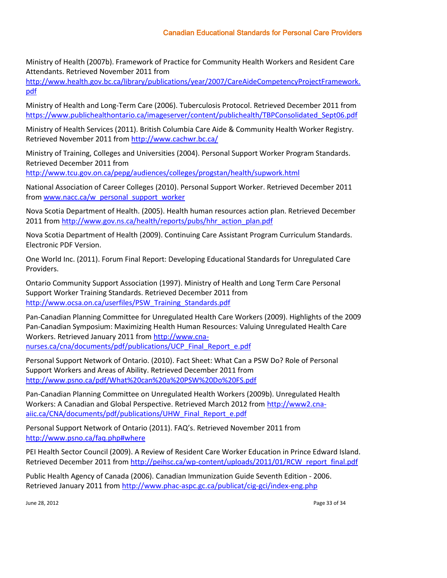Ministry of Health (2007b). Framework of Practice for Community Health Workers and Resident Care Attendants. Retrieved November 2011 from

[http://www.health.gov.bc.ca/library/publications/year/2007/CareAideCompetencyProjectFramework.](http://www.health.gov.bc.ca/library/publications/year/2007/CareAideCompetencyProjectFramework.pdf) [pdf](http://www.health.gov.bc.ca/library/publications/year/2007/CareAideCompetencyProjectFramework.pdf)

Ministry of Health and Long-Term Care (2006). Tuberculosis Protocol. Retrieved December 2011 from [https://www.publichealthontario.ca/imageserver/content/publichealth/TBPConsolidated\\_Sept06.pdf](https://www.publichealthontario.ca/imageserver/content/publichealth/TBPConsolidated_Sept06.pdf)

Ministry of Health Services (2011). British Columbia Care Aide & Community Health Worker Registry. Retrieved November 2011 from<http://www.cachwr.bc.ca/>

Ministry of Training, Colleges and Universities (2004). Personal Support Worker Program Standards. Retrieved December 2011 from

<http://www.tcu.gov.on.ca/pepg/audiences/colleges/progstan/health/supwork.html>

National Association of Career Colleges (2010). Personal Support Worker. Retrieved December 2011 fro[m www.nacc.ca/w\\_personal\\_support\\_worker](../../Users/Laura/AppData/Local/Microsoft/Windows/Temporary%20Internet%20Files/Low/Content.IE5/AppData/Local/Local%20Settings/Temporary%20Internet%20Files/Content.IE5/Local%20Settings/Temporary%20Internet%20Files/Content.IE5/Local%20Settings/Temporary%20Internet%20Files/Content.IE5/ZX9VOXPU/www.nacc.ca/w_personal_support_worker)

Nova Scotia Department of Health. (2005). Health human resources action plan. Retrieved December 2011 fro[m http://www.gov.ns.ca/health/reports/pubs/hhr\\_action\\_plan.pdf](http://www.gov.ns.ca/health/reports/pubs/hhr_action_plan.pdf)

Nova Scotia Department of Health (2009). Continuing Care Assistant Program Curriculum Standards. Electronic PDF Version.

One World Inc. (2011). Forum Final Report: Developing Educational Standards for Unregulated Care Providers.

Ontario Community Support Association (1997). Ministry of Health and Long Term Care Personal Support Worker Training Standards. Retrieved December 2011 from [http://www.ocsa.on.ca/userfiles/PSW\\_Training\\_Standards.pdf](http://www.ocsa.on.ca/userfiles/PSW_Training_Standards.pdf)

Pan-Canadian Planning Committee for Unregulated Health Care Workers (2009). Highlights of the 2009 Pan-Canadian Symposium: Maximizing Health Human Resources: Valuing Unregulated Health Care Workers. Retrieved January 2011 from [http://www.cna](http://www.cna-nurses.ca/cna/documents/pdf/publications/UCP_Final_Report_e.pdf)[nurses.ca/cna/documents/pdf/publications/UCP\\_Final\\_Report\\_e.pdf](http://www.cna-nurses.ca/cna/documents/pdf/publications/UCP_Final_Report_e.pdf)

Personal Support Network of Ontario. (2010). Fact Sheet: What Can a PSW Do? Role of Personal Support Workers and Areas of Ability. Retrieved December 2011 from <http://www.psno.ca/pdf/What%20can%20a%20PSW%20Do%20FS.pdf>

Pan-Canadian Planning Committee on Unregulated Health Workers (2009b). Unregulated Health Workers: A Canadian and Global Perspective. Retrieved March 2012 fro[m http://www2.cna](http://www2.cna-aiic.ca/CNA/documents/pdf/publications/UHW_Final_Report_e.pdf)[aiic.ca/CNA/documents/pdf/publications/UHW\\_Final\\_Report\\_e.pdf](http://www2.cna-aiic.ca/CNA/documents/pdf/publications/UHW_Final_Report_e.pdf)

Personal Support Network of Ontario (2011). FAQ's. Retrieved November 2011 from [http://www.psno.ca/faq.php#where](http://www.psno.ca/faq.php%23where)

PEI Health Sector Council (2009). A Review of Resident Care Worker Education in Prince Edward Island. Retrieved December 2011 from [http://peihsc.ca/wp-content/uploads/2011/01/RCW\\_report\\_final.pdf](http://peihsc.ca/wp-content/uploads/2011/01/RCW_report_final.pdf)

Public Health Agency of Canada (2006). Canadian Immunization Guide Seventh Edition - 2006. Retrieved January 2011 from<http://www.phac-aspc.gc.ca/publicat/cig-gci/index-eng.php>